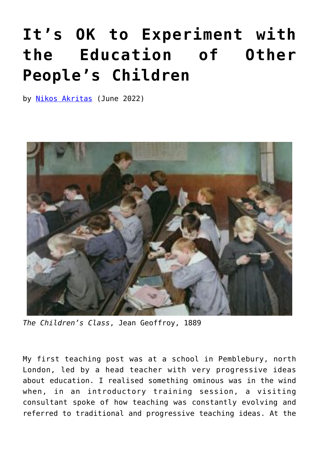## **[It's OK to Experiment with](https://www.newenglishreview.org/articles/its-ok-to-experiment-with-the-education-of-other-peoples-children/) [the Education of Other](https://www.newenglishreview.org/articles/its-ok-to-experiment-with-the-education-of-other-peoples-children/) [People's Children](https://www.newenglishreview.org/articles/its-ok-to-experiment-with-the-education-of-other-peoples-children/)**

by [Nikos Akritas](https://www.newenglishreview.org/authors/nikos-akritas/) (June 2022)



*The Children's Class*, Jean Geoffroy, 1889

My first teaching post was at a school in Pemblebury, north London, led by a head teacher with very progressive ideas about education. I realised something ominous was in the wind when, in an introductory training session, a visiting consultant spoke of how teaching was constantly evolving and referred to traditional and progressive teaching ideas. At the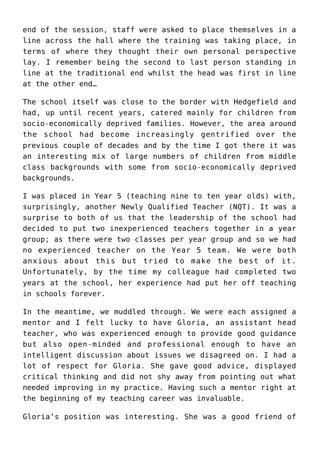end of the session, staff were asked to place themselves in a line across the hall where the training was taking place, in terms of where they thought their own personal perspective lay. I remember being the second to last person standing in line at the traditional end whilst the head was first in line at the other end…

The school itself was close to the border with Hedgefield and had, up until recent years, catered mainly for children from socio-economically deprived families. However, the area around the school had become increasingly gentrified over the previous couple of decades and by the time I got there it was an interesting mix of large numbers of children from middle class backgrounds with some from socio-economically deprived backgrounds.

I was placed in Year 5 (teaching nine to ten year olds) with, surprisingly, another Newly Qualified Teacher (NQT). It was a surprise to both of us that the leadership of the school had decided to put two inexperienced teachers together in a year group; as there were two classes per year group and so we had no experienced teacher on the Year 5 team. We were both anxious about this but tried to make the best of it. Unfortunately, by the time my colleague had completed two years at the school, her experience had put her off teaching in schools forever.

In the meantime, we muddled through. We were each assigned a mentor and I felt lucky to have Gloria, an assistant head teacher, who was experienced enough to provide good guidance but also open-minded and professional enough to have an intelligent discussion about issues we disagreed on. I had a lot of respect for Gloria. She gave good advice, displayed critical thinking and did not shy away from pointing out what needed improving in my practice. Having such a mentor right at the beginning of my teaching career was invaluable.

Gloria's position was interesting. She was a good friend of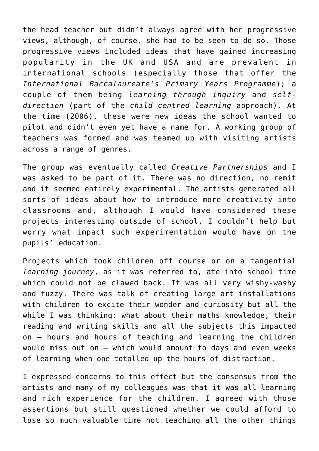the head teacher but didn't always agree with her progressive views, although, of course, she had to be seen to do so. Those progressive views included ideas that have gained increasing popularity in the UK and USA and are prevalent in international schools (especially those that offer the *International Baccalaureate's Primary Years Programme*); a couple of them being *learning through inquiry* and *selfdirection* (part of the *child centred learning* approach). At the time (2006), these were new ideas the school wanted to pilot and didn't even yet have a name for. A working group of teachers was formed and was teamed up with visiting artists across a range of genres.

The group was eventually called *Creative Partnerships* and I was asked to be part of it. There was no direction, no remit and it seemed entirely experimental. The artists generated all sorts of ideas about how to introduce more creativity into classrooms and, although I would have considered these projects interesting outside of school, I couldn't help but worry what impact such experimentation would have on the pupils' education.

Projects which took children off course or on a tangential *learning journey*, as it was referred to, ate into school time which could not be clawed back. It was all very wishy-washy and fuzzy. There was talk of creating large art installations with children to excite their wonder and curiosity but all the while I was thinking: what about their maths knowledge, their reading and writing skills and all the subjects this impacted on – hours and hours of teaching and learning the children would miss out on – which would amount to days and even weeks of learning when one totalled up the hours of distraction.

I expressed concerns to this effect but the consensus from the artists and many of my colleagues was that it was all learning and rich experience for the children. I agreed with those assertions but still questioned whether we could afford to lose so much valuable time not teaching all the other things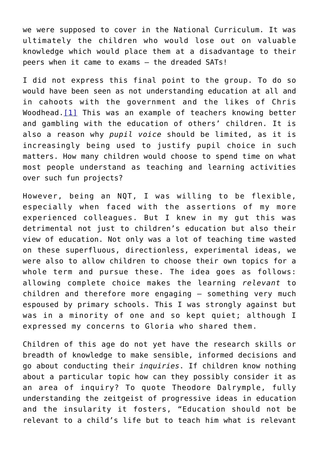we were supposed to cover in the National Curriculum. It was ultimately the children who would lose out on valuable knowledge which would place them at a disadvantage to their peers when it came to exams – the dreaded SATs!

<span id="page-3-0"></span>I did not express this final point to the group. To do so would have been seen as not understanding education at all and in cahoots with the government and the likes of Chris Woodhead. $[1]$  This was an example of teachers knowing better and gambling with the education of others' children. It is also a reason why *pupil voice* should be limited, as it is increasingly being used to justify pupil choice in such matters. How many children would choose to spend time on what most people understand as teaching and learning activities over such fun projects?

However, being an NQT, I was willing to be flexible, especially when faced with the assertions of my more experienced colleagues. But I knew in my gut this was detrimental not just to children's education but also their view of education. Not only was a lot of teaching time wasted on these superfluous, directionless, experimental ideas, we were also to allow children to choose their own topics for a whole term and pursue these. The idea goes as follows: allowing complete choice makes the learning *relevant* to children and therefore more engaging – something very much espoused by primary schools. This I was strongly against but was in a minority of one and so kept quiet; although I expressed my concerns to Gloria who shared them.

<span id="page-3-1"></span>Children of this age do not yet have the research skills or breadth of knowledge to make sensible, informed decisions and go about conducting their *inquiries*. If children know nothing about a particular topic how can they possibly consider it as an area of inquiry? To quote Theodore Dalrymple, fully understanding the zeitgeist of progressive ideas in education and the insularity it fosters, "Education should not be relevant to a child's life but to teach him what is relevant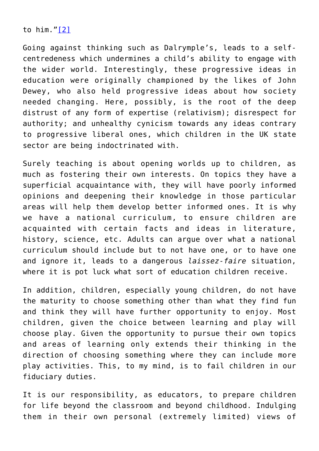to him."[\[2\]](#page-9-1)

Going against thinking such as Dalrymple's, leads to a selfcentredeness which undermines a child's ability to engage with the wider world. Interestingly, these progressive ideas in education were originally championed by the likes of John Dewey, who also held progressive ideas about how society needed changing. Here, possibly, is the root of the deep distrust of any form of expertise (relativism); disrespect for authority; and unhealthy cynicism towards any ideas contrary to progressive liberal ones, which children in the UK state sector are being indoctrinated with.

Surely teaching is about opening worlds up to children, as much as fostering their own interests. On topics they have a superficial acquaintance with, they will have poorly informed opinions and deepening their knowledge in those particular areas will help them develop better informed ones. It is why we have a national curriculum, to ensure children are acquainted with certain facts and ideas in literature, history, science, etc. Adults can argue over what a national curriculum should include but to not have one, or to have one and ignore it, leads to a dangerous *laissez-faire* situation, where it is pot luck what sort of education children receive.

In addition, children, especially young children, do not have the maturity to choose something other than what they find fun and think they will have further opportunity to enjoy. Most children, given the choice between learning and play will choose play. Given the opportunity to pursue their own topics and areas of learning only extends their thinking in the direction of choosing something where they can include more play activities. This, to my mind, is to fail children in our fiduciary duties.

It is our responsibility, as educators, to prepare children for life beyond the classroom and beyond childhood. Indulging them in their own personal (extremely limited) views of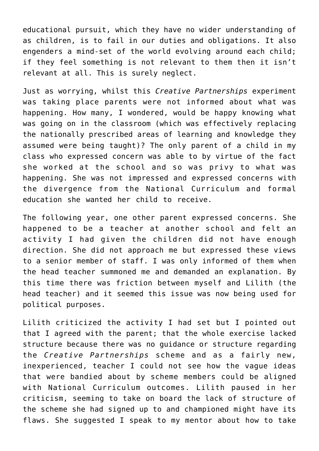educational pursuit, which they have no wider understanding of as children, is to fail in our duties and obligations. It also engenders a mind-set of the world evolving around each child; if they feel something is not relevant to them then it isn't relevant at all. This is surely neglect.

Just as worrying, whilst this *Creative Partnerships* experiment was taking place parents were not informed about what was happening. How many, I wondered, would be happy knowing what was going on in the classroom (which was effectively replacing the nationally prescribed areas of learning and knowledge they assumed were being taught)? The only parent of a child in my class who expressed concern was able to by virtue of the fact she worked at the school and so was privy to what was happening. She was not impressed and expressed concerns with the divergence from the National Curriculum and formal education she wanted her child to receive.

The following year, one other parent expressed concerns. She happened to be a teacher at another school and felt an activity I had given the children did not have enough direction. She did not approach me but expressed these views to a senior member of staff. I was only informed of them when the head teacher summoned me and demanded an explanation. By this time there was friction between myself and Lilith (the head teacher) and it seemed this issue was now being used for political purposes.

Lilith criticized the activity I had set but I pointed out that I agreed with the parent; that the whole exercise lacked structure because there was no guidance or structure regarding the *Creative Partnerships* scheme and as a fairly new, inexperienced, teacher I could not see how the vague ideas that were bandied about by scheme members could be aligned with National Curriculum outcomes. Lilith paused in her criticism, seeming to take on board the lack of structure of the scheme she had signed up to and championed might have its flaws. She suggested I speak to my mentor about how to take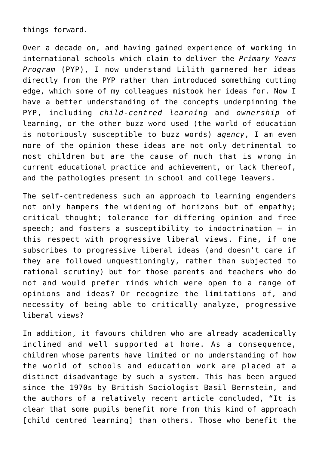things forward.

Over a decade on, and having gained experience of working in international schools which claim to deliver the *Primary Years Program* (PYP), I now understand Lilith garnered her ideas directly from the PYP rather than introduced something cutting edge, which some of my colleagues mistook her ideas for. Now I have a better understanding of the concepts underpinning the PYP, including *child-centred learning* and *ownership* of learning, or the other buzz word used (the world of education is notoriously susceptible to buzz words) *agency*, I am even more of the opinion these ideas are not only detrimental to most children but are the cause of much that is wrong in current educational practice and achievement, or lack thereof, and the pathologies present in school and college leavers.

The self-centredeness such an approach to learning engenders not only hampers the widening of horizons but of empathy; critical thought; tolerance for differing opinion and free speech; and fosters a susceptibility to indoctrination – in this respect with progressive liberal views. Fine, if one subscribes to progressive liberal ideas (and doesn't care if they are followed unquestioningly, rather than subjected to rational scrutiny) but for those parents and teachers who do not and would prefer minds which were open to a range of opinions and ideas? Or recognize the limitations of, and necessity of being able to critically analyze, progressive liberal views?

<span id="page-6-0"></span>In addition, it favours children who are already academically inclined and well supported at home. As a consequence, children whose parents have limited or no understanding of how the world of schools and education work are placed at a distinct disadvantage by such a system. This has been argued since the 1970s by British Sociologist Basil Bernstein, and the authors of a relatively recent article concluded, "It is clear that some pupils benefit more from this kind of approach [child centred learning] than others. Those who benefit the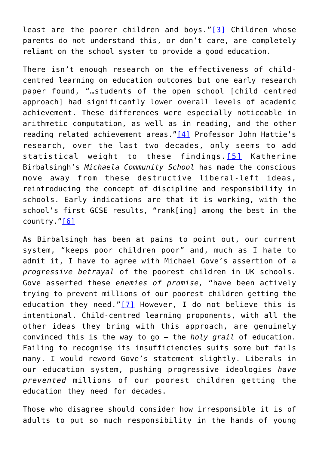least are the poorer children and boys."[\[3\]](#page-9-2) Children whose parents do not understand this, or don't care, are completely reliant on the school system to provide a good education.

<span id="page-7-0"></span>There isn't enough research on the effectiveness of childcentred learning on education outcomes but one early research paper found, "…students of the open school [child centred approach] had significantly lower overall levels of academic achievement. These differences were especially noticeable in arithmetic computation, as well as in reading, and the other reading related achievement areas.["\[4\]](#page-9-3) Professor John Hattie's research, over the last two decades, only seems to add statistical weight to these findings.[\[5\]](#page-9-4) Katherine Birbalsingh's *Michaela Community School* has made the conscious move away from these destructive liberal-left ideas, reintroducing the concept of discipline and responsibility in schools. Early indications are that it is working, with the school's first GCSE results, "rank[ing] among the best in the country."[\[6\]](#page-9-5)

<span id="page-7-3"></span><span id="page-7-2"></span><span id="page-7-1"></span>As Birbalsingh has been at pains to point out, our current system, "keeps poor children poor" and, much as I hate to admit it, I have to agree with Michael Gove's assertion of a *progressive betrayal* of the poorest children in UK schools. Gove asserted these *enemies of promise,* "have been actively trying to prevent millions of our poorest children getting the education they need." $[7]$  However, I do not believe this is intentional. Child-centred learning proponents, with all the other ideas they bring with this approach, are genuinely convinced this is the way to go – the *holy grail* of education. Failing to recognise its insufficiencies suits some but fails many. I would reword Gove's statement slightly. Liberals in our education system, pushing progressive ideologies *have prevented* millions of our poorest children getting the education they need for decades.

Those who disagree should consider how irresponsible it is of adults to put so much responsibility in the hands of young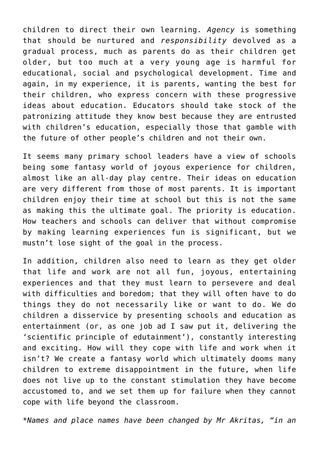children to direct their own learning. *Agency* is something that should be nurtured and *responsibility* devolved as a gradual process, much as parents do as their children get older, but too much at a very young age is harmful for educational, social and psychological development. Time and again, in my experience, it is parents, wanting the best for their children, who express concern with these progressive ideas about education. Educators should take stock of the patronizing attitude they know best because they are entrusted with children's education, especially those that gamble with the future of other people's children and not their own.

It seems many primary school leaders have a view of schools being some fantasy world of joyous experience for children, almost like an all-day play centre. Their ideas on education are very different from those of most parents. It is important children enjoy their time at school but this is not the same as making this the ultimate goal. The priority is education. How teachers and schools can deliver that without compromise by making learning experiences fun is significant, but we mustn't lose sight of the goal in the process.

In addition, children also need to learn as they get older that life and work are not all fun, joyous, entertaining experiences and that they must learn to persevere and deal with difficulties and boredom; that they will often have to do things they do not necessarily like or want to do. We do children a disservice by presenting schools and education as entertainment (or, as one job ad I saw put it, delivering the 'scientific principle of edutainment'), constantly interesting and exciting. How will they cope with life and work when it isn't? We create a fantasy world which ultimately dooms many children to extreme disappointment in the future, when life does not live up to the constant stimulation they have become accustomed to, and we set them up for failure when they cannot cope with life beyond the classroom.

*\*Names and place names have been changed by Mr Akritas, "in an*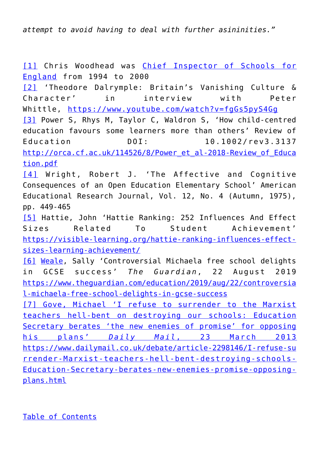*attempt to avoid having to deal with further asininities."*

<span id="page-9-0"></span>[\[1\]](#page-3-0) Chris Woodhead was [Chief Inspector of Schools for](https://en.wikipedia.org/wiki/Her_Majesty%27s_Chief_Inspector_of_Schools_in_England) [England](https://en.wikipedia.org/wiki/Her_Majesty%27s_Chief_Inspector_of_Schools_in_England) from 1994 to 2000

<span id="page-9-2"></span><span id="page-9-1"></span>[\[2\]](#page-3-1) 'Theodore Dalrymple: Britain's Vanishing Culture & Character' in interview with Peter Whittle, <https://www.youtube.com/watch?v=fgGs5pyS4Gg> [\[3\]](#page-6-0) Power S, Rhys M, Taylor C, Waldron S, 'How child-centred education favours some learners more than others' Review of Education DOI: 10.1002/rev3.3137 [http://orca.cf.ac.uk/114526/8/Power\\_et\\_al-2018-Review\\_of\\_Educa](http://orca.cf.ac.uk/114526/8/Power_et_al-2018-Review_of_Education.pdf) [tion.pdf](http://orca.cf.ac.uk/114526/8/Power_et_al-2018-Review_of_Education.pdf)

<span id="page-9-3"></span>[\[4\]](#page-7-0) Wright, Robert J. 'The Affective and Cognitive Consequences of an Open Education Elementary School' American Educational Research Journal, Vol. 12, No. 4 (Autumn, 1975), pp. 449-465

<span id="page-9-4"></span>[\[5\]](#page-7-1) Hattie, John 'Hattie Ranking: 252 Influences And Effect Sizes Related To Student Achievement' [https://visible-learning.org/hattie-ranking-influences-effect](https://visible-learning.org/hattie-ranking-influences-effect-sizes-learning-achievement/)[sizes-learning-achievement/](https://visible-learning.org/hattie-ranking-influences-effect-sizes-learning-achievement/)

<span id="page-9-5"></span>[\[6\]](#page-7-2) [Weale,](https://www.theguardian.com/profile/sallyweale) Sally 'Controversial Michaela free school delights in GCSE success' *The Guardian*, 22 August 2019 [https://www.theguardian.com/education/2019/aug/22/controversia](https://www.theguardian.com/education/2019/aug/22/controversial-michaela-free-school-delights-in-gcse-success) [l-michaela-free-school-delights-in-gcse-success](https://www.theguardian.com/education/2019/aug/22/controversial-michaela-free-school-delights-in-gcse-success)

<span id="page-9-6"></span>[\[7\]](#page-7-3) [Gove, Michael 'I refuse to surrender to the Marxist](https://www.newenglishreview.org/%20Gove,%20Michael%20) [teachers hell-bent on destroying our schools: Education](https://www.newenglishreview.org/%20Gove,%20Michael%20) [Secretary berates 'the new enemies of promise' for opposing](https://www.newenglishreview.org/%20Gove,%20Michael%20) [his plans'](https://www.newenglishreview.org/%20Gove,%20Michael%20) *[Daily Mail](https://www.newenglishreview.org/%20Gove,%20Michael%20)*[, 23 March 2013](https://www.newenglishreview.org/%20Gove,%20Michael%20) [https://www.dailymail.co.uk/debate/article-2298146/I-refuse-su](https://www.newenglishreview.org/%20Gove,%20Michael%20) [rrender-Marxist-teachers-hell-bent-destroying-schools-](https://www.newenglishreview.org/%20Gove,%20Michael%20)[Education-Secretary-berates-new-enemies-promise-opposing](https://www.newenglishreview.org/%20Gove,%20Michael%20)[plans.html](https://www.newenglishreview.org/%20Gove,%20Michael%20)